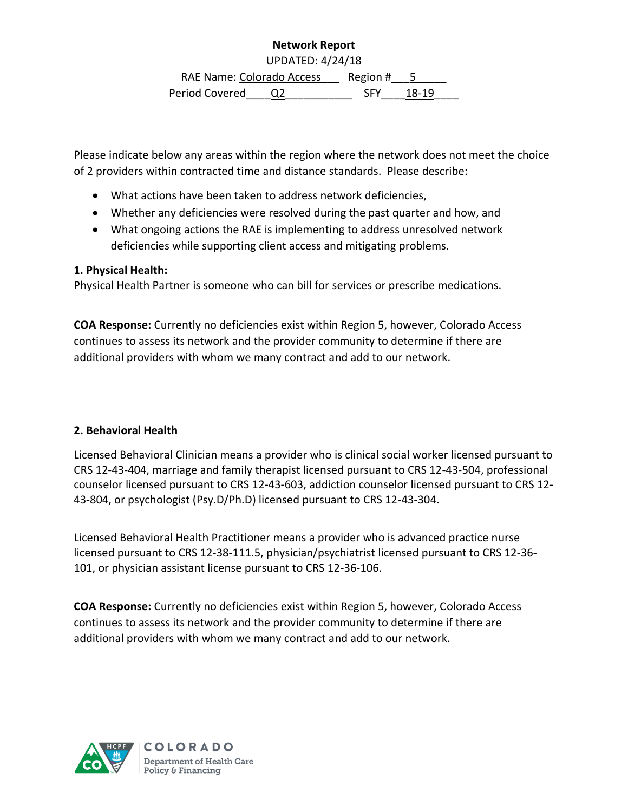# **Network Report**

UPDATED: 4/24/18

RAE Name: Colorado Access Region # \_\_ 5 Period Covered Q2 5FY 18-19

Please indicate below any areas within the region where the network does not meet the choice of 2 providers within contracted time and distance standards. Please describe:

- What actions have been taken to address network deficiencies,
- Whether any deficiencies were resolved during the past quarter and how, and
- What ongoing actions the RAE is implementing to address unresolved network deficiencies while supporting client access and mitigating problems.

# **1. Physical Health:**

Physical Health Partner is someone who can bill for services or prescribe medications.

**COA Response:** Currently no deficiencies exist within Region 5, however, Colorado Access continues to assess its network and the provider community to determine if there are additional providers with whom we many contract and add to our network.

# **2. Behavioral Health**

Licensed Behavioral Clinician means a provider who is clinical social worker licensed pursuant to CRS 12-43-404, marriage and family therapist licensed pursuant to CRS 12-43-504, professional counselor licensed pursuant to CRS 12-43-603, addiction counselor licensed pursuant to CRS 12- 43-804, or psychologist (Psy.D/Ph.D) licensed pursuant to CRS 12-43-304.

Licensed Behavioral Health Practitioner means a provider who is advanced practice nurse licensed pursuant to CRS 12-38-111.5, physician/psychiatrist licensed pursuant to CRS 12-36- 101, or physician assistant license pursuant to CRS 12-36-106.

**COA Response:** Currently no deficiencies exist within Region 5, however, Colorado Access continues to assess its network and the provider community to determine if there are additional providers with whom we many contract and add to our network.

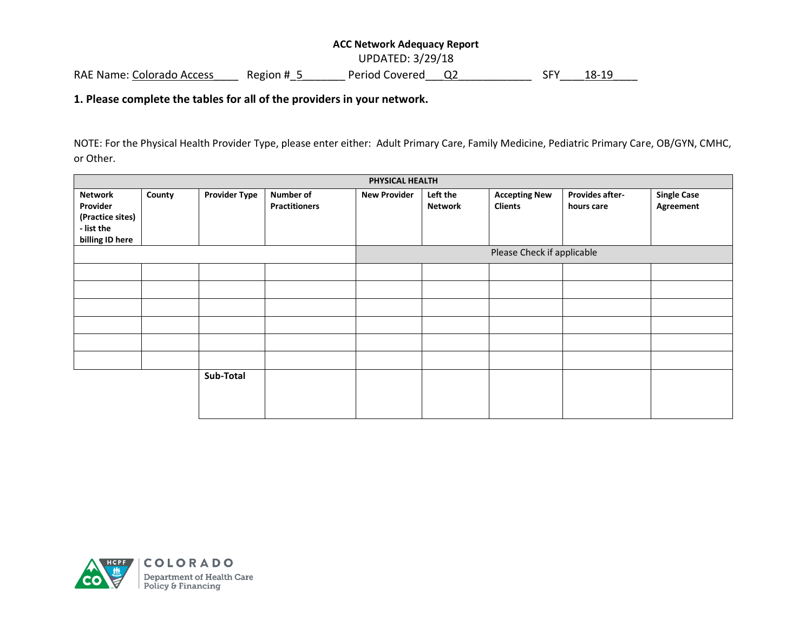### **ACC Network Adequacy Report**  UPDATED: 3/29/18 RAE Name: Colorado Access Region # 5 Period Covered Q2 SFY 18-19

#### **1. Please complete the tables for all of the providers in your network.**

NOTE: For the Physical Health Provider Type, please enter either: Adult Primary Care, Family Medicine, Pediatric Primary Care, OB/GYN, CMHC, or Other.

| PHYSICAL HEALTH  |        |                      |                            |                     |                |                      |                        |                    |
|------------------|--------|----------------------|----------------------------|---------------------|----------------|----------------------|------------------------|--------------------|
| Network          | County | <b>Provider Type</b> | Number of                  | <b>New Provider</b> | Left the       | <b>Accepting New</b> | <b>Provides after-</b> | <b>Single Case</b> |
| Provider         |        |                      | <b>Practitioners</b>       |                     | <b>Network</b> | <b>Clients</b>       | hours care             | <b>Agreement</b>   |
| (Practice sites) |        |                      |                            |                     |                |                      |                        |                    |
| - list the       |        |                      |                            |                     |                |                      |                        |                    |
| billing ID here  |        |                      |                            |                     |                |                      |                        |                    |
|                  |        |                      | Please Check if applicable |                     |                |                      |                        |                    |
|                  |        |                      |                            |                     |                |                      |                        |                    |
|                  |        |                      |                            |                     |                |                      |                        |                    |
|                  |        |                      |                            |                     |                |                      |                        |                    |
|                  |        |                      |                            |                     |                |                      |                        |                    |
|                  |        |                      |                            |                     |                |                      |                        |                    |
|                  |        |                      |                            |                     |                |                      |                        |                    |
|                  |        | Sub-Total            |                            |                     |                |                      |                        |                    |
|                  |        |                      |                            |                     |                |                      |                        |                    |

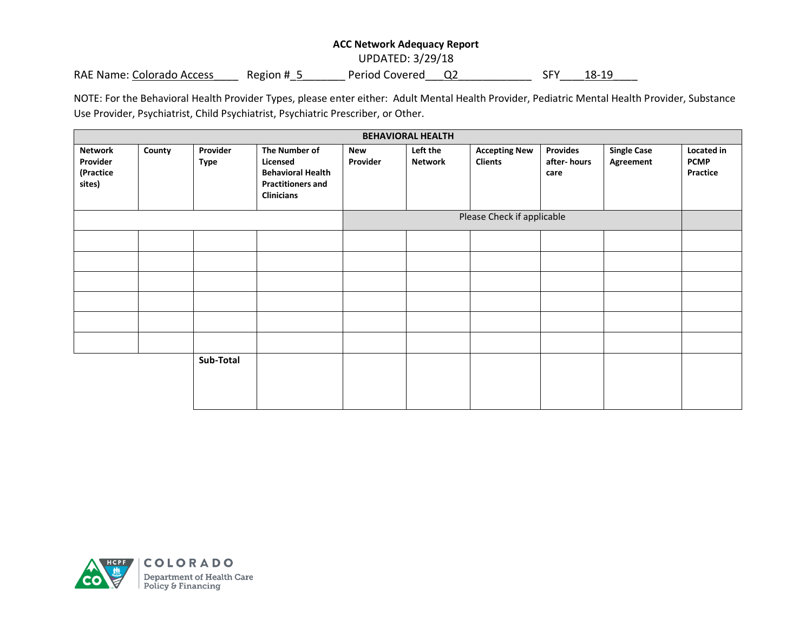#### **ACC Network Adequacy Report**

UPDATED: 3/29/18

RAE Name: Colorado Access Region # 5 Period Covered Q2 SFY 18-19

NOTE: For the Behavioral Health Provider Types, please enter either: Adult Mental Health Provider, Pediatric Mental Health Provider, Substance Use Provider, Psychiatrist, Child Psychiatrist, Psychiatric Prescriber, or Other.

| <b>BEHAVIORAL HEALTH</b>                          |        |                         |                                                                                                        |                        |                            |                                        |                                        |                                 |                                       |
|---------------------------------------------------|--------|-------------------------|--------------------------------------------------------------------------------------------------------|------------------------|----------------------------|----------------------------------------|----------------------------------------|---------------------------------|---------------------------------------|
| <b>Network</b><br>Provider<br>(Practice<br>sites) | County | Provider<br><b>Type</b> | The Number of<br>Licensed<br><b>Behavioral Health</b><br><b>Practitioners and</b><br><b>Clinicians</b> | <b>New</b><br>Provider | Left the<br><b>Network</b> | <b>Accepting New</b><br><b>Clients</b> | <b>Provides</b><br>after-hours<br>care | <b>Single Case</b><br>Agreement | Located in<br><b>PCMP</b><br>Practice |
|                                                   |        |                         | Please Check if applicable                                                                             |                        |                            |                                        |                                        |                                 |                                       |
|                                                   |        |                         |                                                                                                        |                        |                            |                                        |                                        |                                 |                                       |
|                                                   |        |                         |                                                                                                        |                        |                            |                                        |                                        |                                 |                                       |
|                                                   |        |                         |                                                                                                        |                        |                            |                                        |                                        |                                 |                                       |
|                                                   |        |                         |                                                                                                        |                        |                            |                                        |                                        |                                 |                                       |
|                                                   |        |                         |                                                                                                        |                        |                            |                                        |                                        |                                 |                                       |
|                                                   |        |                         |                                                                                                        |                        |                            |                                        |                                        |                                 |                                       |
|                                                   |        | Sub-Total               |                                                                                                        |                        |                            |                                        |                                        |                                 |                                       |

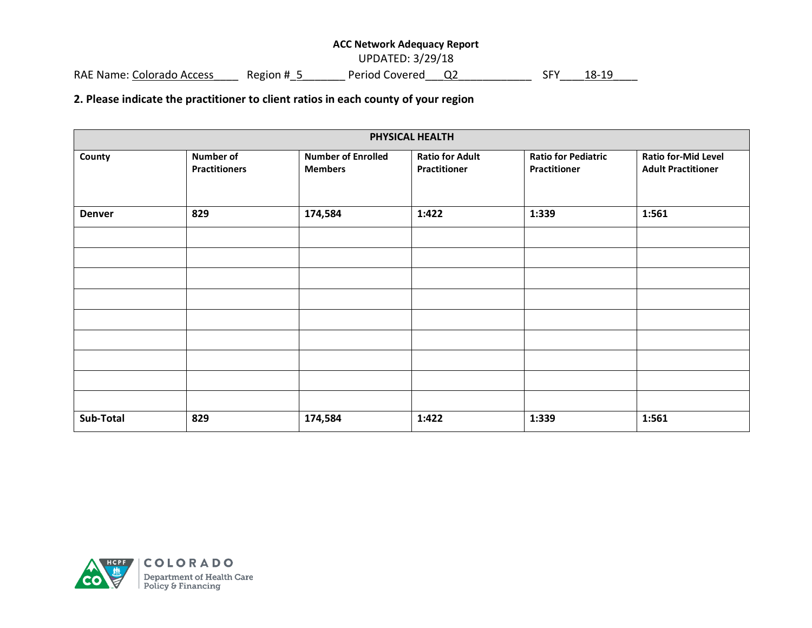#### **ACC Network Adequacy Report**

UPDATED: 3/29/18

RAE Name: Colorado Access\_\_\_\_\_ Region #\_5\_\_\_\_\_\_\_\_ Period Covered\_\_\_Q2\_\_\_\_\_\_\_\_\_\_\_\_\_ SFY\_\_\_\_ 18-19

**2. Please indicate the practitioner to client ratios in each county of your region**

| PHYSICAL HEALTH |                                          |                                             |                                               |                                                   |                                                         |  |
|-----------------|------------------------------------------|---------------------------------------------|-----------------------------------------------|---------------------------------------------------|---------------------------------------------------------|--|
| County          | <b>Number of</b><br><b>Practitioners</b> | <b>Number of Enrolled</b><br><b>Members</b> | <b>Ratio for Adult</b><br><b>Practitioner</b> | <b>Ratio for Pediatric</b><br><b>Practitioner</b> | <b>Ratio for-Mid Level</b><br><b>Adult Practitioner</b> |  |
| <b>Denver</b>   | 829                                      | 174,584                                     | 1:422                                         | 1:339                                             | 1:561                                                   |  |
|                 |                                          |                                             |                                               |                                                   |                                                         |  |
|                 |                                          |                                             |                                               |                                                   |                                                         |  |
|                 |                                          |                                             |                                               |                                                   |                                                         |  |
|                 |                                          |                                             |                                               |                                                   |                                                         |  |
|                 |                                          |                                             |                                               |                                                   |                                                         |  |
|                 |                                          |                                             |                                               |                                                   |                                                         |  |
|                 |                                          |                                             |                                               |                                                   |                                                         |  |
|                 |                                          |                                             |                                               |                                                   |                                                         |  |
|                 |                                          |                                             |                                               |                                                   |                                                         |  |
| Sub-Total       | 829                                      | 174,584                                     | 1:422                                         | 1:339                                             | 1:561                                                   |  |